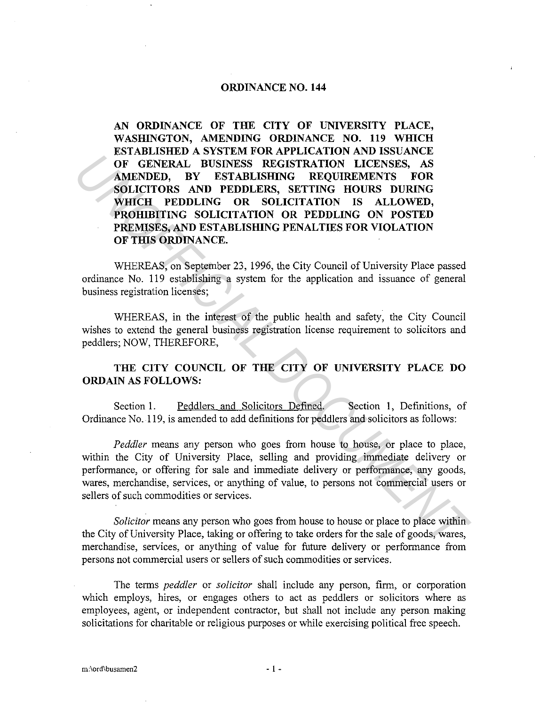## **ORDINANCE NO. 144**

**AN ORDINANCE OF THE CITY OF UNIVERSITY PLACE, WASHINGTON, AMENDING ORDINANCE NO. 119 WHICH ESTABLISHED A SYSTEM FOR APPLICATION AND ISSUANCE OF GENERAL BUSINESS REGISTRATION LICENSES, AS AMENDED, BY ESTABLISHING REQUIREMENTS FOR SOLICITORS AND PEDDLERS, SETTING HOURS DURING WHICH PEDDLING OR SOLICITATION IS ALLOWED, PROHIBITING SOLICITATION OR PEDDLING ON POSTED PREMISES, AND ESTABLISHING PENALTIES FOR VIOLATION OF THIS ORDINANCE.**  FORERAL BUSINESS REGISTRATION LICENSES, AS<br> **AMENDED.** BY ESTAILSHING REQUIREMENTS TORE<br> **AMENDED.** AND PEDDLERS, SECISTRATION LICENSES, AS<br> **SOLICITIONS AND PEDDLERS, SECISTRATION IS ALLOWED.**<br> **PROFILIEMT PEDDLERS OR SOL** 

WHEREAS, on September 23, 1996, the City Council of University Place passed ordinance No. 119 establishing a system for the application and issuance of general business registration licenses;

WHEREAS, in the interest of the public health and safety, the City Council wishes to extend the general business registration license requirement to solicitors and peddlers; NOW, THEREFORE,

## **THE CITY COUNCIL OF THE CITY OF UNIVERSITY PLACE DO ORDAIN AS FOLLOWS:**

Section 1. Peddlers and Solicitors Defined. Section 1, Definitions, of Ordinance No. 119, is amended to add definitions for peddlers and solicitors as follows:

*Peddler* means any person who goes from house to house, or place to place, within the City of University Place, selling and providing immediate delivery or performance, or offering for sale and immediate delivery or performance, any goods, wares, merchandise, services, or anything of value, to persons not commercial users or sellers of such commodities or services.

*Solicitor* means any person who goes from house to house or place to place within the City of University Place, taking or offering to take orders for the sale of goods, wares, merchandise, services, or anything of value for future delivery or performance from persons not commercial users or sellers of such commodities or services.

The terms *peddler* or *solicitor* shall include any person, firm, or corporation which employs, hires, or engages others to act as peddlers or solicitors where as employees, agent, or independent contractor, but shall not include any person making solicitations for charitable or religious purposes or while exercising political free speech.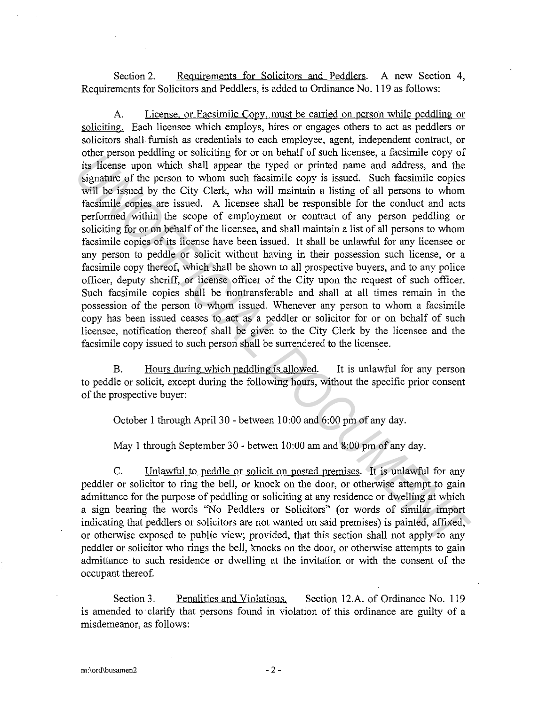Section 2. Requirements for Solicitors and Peddlers. A new Section 4, Requirements for Solicitors and Peddlers, is added to Ordinance No. 119 as follows:

A. License. or Facsimile Copy. must be carried on person while peddling or soliciting. Each licensee which employs, hires or engages others to act as peddlers or solicitors shall furnish as credentials to each employee, agent, independent contract, or other person peddling or soliciting for or on behalf of such licensee, a facsimile copy of its license upon which shall appear the typed or printed name and address, and the signature of the person to whom such facsimile copy is issued. Such facsimile copies will be issued by the City Clerk, who will maintain a listing of all persons to whom facsimile copies are issued. A licensee shall be responsible for the conduct and acts performed within the scope of employment or contract of any person peddling or soliciting for or on behalf of the licensee, and shall maintain a list of all persons to whom facsimile copies of its license have been issued. It shall be unlawful for any licensee or any person to peddle or solicit without having in their possession such license, or a facsimile copy thereof, which shall be shown to all prospective buyers, and to any police officer, deputy sheriff, or license officer of the City upon the request of such officer. Such facsimile copies shall be nontransferable and shall at all times remain in the possession of the person to whom issued. Whenever any person to whom a facsimile copy has been issued ceases to act as a peddler or solicitor for or on behalf of such licensee, notification thereof shall be given to the City Clerk by the licensee and the facsimile copy issued to such person shall be surrendered to the licensee. our person peasamine or solutions. The typed or three acts at a same copy of the person behavior is the size and which shall appear the typed or printed name and address, and the signame of the person to whom such facsimil

B. Hours during which peddling is allowed. It is unlawful for any person to peddle or solicit, except during the following hours, without the specific prior consent of the prospective buyer:

October 1 through April 30 - between 10:00 and 6:00 pm of any day.

May 1 through September 30 - betwen 10:00 am and 8:00 pm of any day.

C. Unlawful to peddle or solicit on posted premises. It is unlawful for any peddler or solicitor to ring the bell, or knock on the door, or otherwise attempt to gain admittance for the purpose of peddling or soliciting at any residence or dwelling at which a sign bearing the words "No Peddlers or Solicitors" (or words of similar import indicating that peddlers or solicitors are not wanted on said premises) is painted, affixed, or otherwise exposed to public view; provided, that this section shall not apply to any peddler or solicitor who rings the bell, knocks on the door, or otherwise attempts to gain admittance to such residence or dwelling at the invitation or with the consent of the occupant thereof.

Section 3. Penalities and Violations. Section 12.A. of Ordinance No. 119 is amended to· clarify that persons found in violation of this ordinance are guilty of a misdemeanor, as follows: